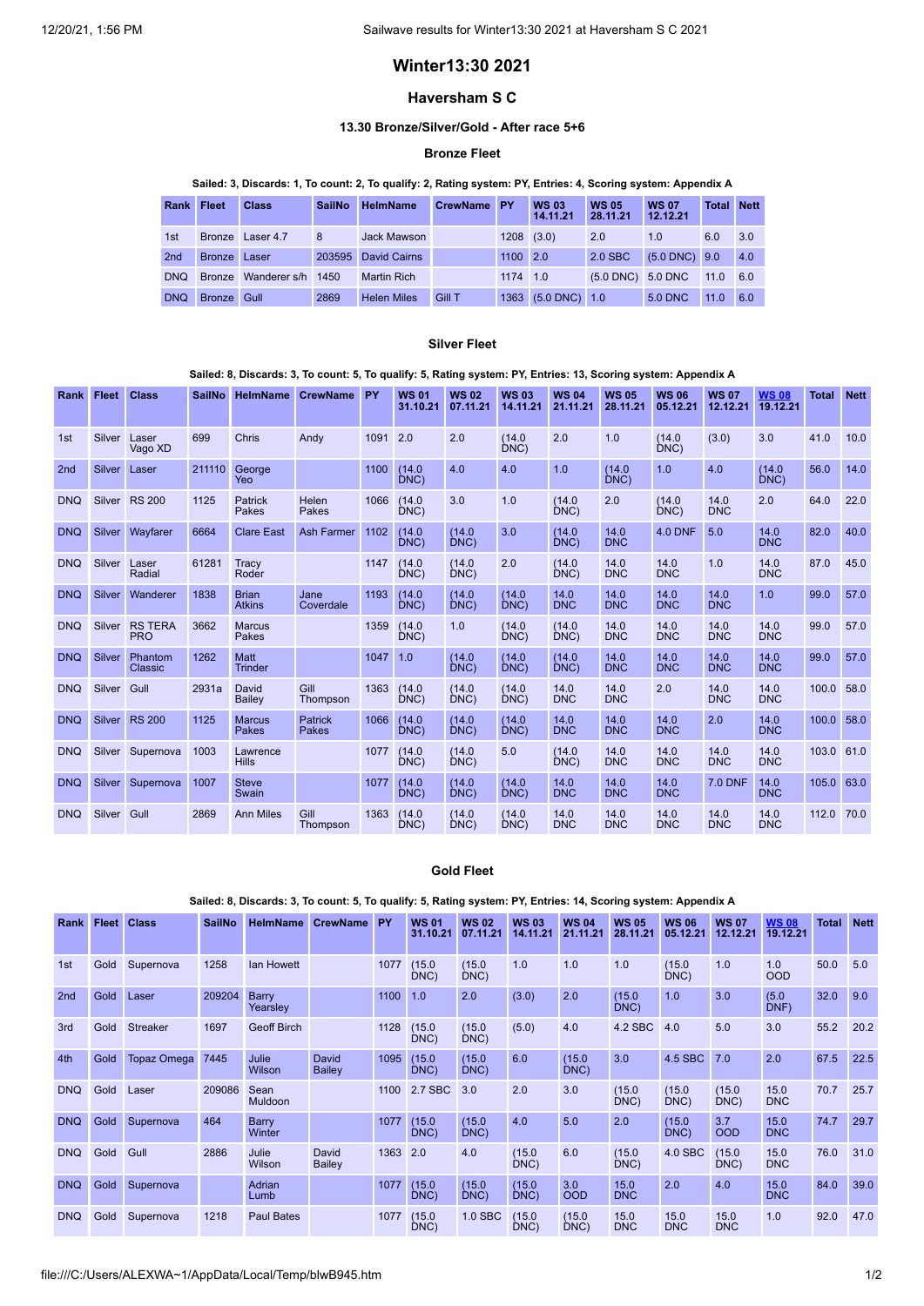# **Winter13:30 2021**

# **Haversham S C**

#### **13.30 Bronze/Silver/Gold - After race 5+6**

### **Bronze Fleet**

## Sailed: 3, Discards: 1, To count: 2, To qualify: 2, Rating system: PY, Entries: 4, Scoring system: Appendix A

| <b>Rank Fleet</b> |               | <b>Class</b>      | <b>SailNo</b> | <b>HelmName</b>     | <b>CrewName PY</b> |                | <b>WS 03</b><br>14.11.21 | <b>WS 05</b><br>28.11.21    | <b>WS 07</b><br>12.12.21 | <b>Total Nett</b> |     |
|-------------------|---------------|-------------------|---------------|---------------------|--------------------|----------------|--------------------------|-----------------------------|--------------------------|-------------------|-----|
| 1st               |               | Bronze Laser 4.7  | 8             | Jack Mawson         |                    | $1208$ $(3.0)$ |                          | 2.0                         | 1.0                      | 6.0               | 3.0 |
| 2nd               | Bronze Laser  |                   | 203595        | <b>David Cairns</b> |                    | 1100 2.0       |                          | 2.0 SBC                     | $(5.0$ DNC) $9.0$        |                   | 4.0 |
| <b>DNQ</b>        | <b>Bronze</b> | Wanderer s/h 1450 |               | <b>Martin Rich</b>  |                    | 1174 1.0       |                          | $(5.0 \text{ DNC})$ 5.0 DNC |                          | $11.0 \t 6.0$     |     |
| <b>DNQ</b>        | <b>Bronze</b> | Gull              | 2869          | <b>Helen Miles</b>  | <b>Gill T</b>      |                | 1363 (5.0 DNC) 1.0       |                             | 5.0 DNC                  | 11.0              | 6.0 |

#### **Silver Fleet**

### Sailed: 8, Discards: 3, To count: 5, To qualify: 5, Rating system: PY, Entries: 13, Scoring system: Appendix A

| <b>Rank</b>     | <b>Fleet</b>  | <b>Class</b>                 | <b>SailNo</b> | <b>HelmName</b>               | <b>CrewName</b>   | PY   | <b>WS 01</b><br>31.10.21 | <b>WS02</b><br>07.11.21 | <b>WS03</b><br>14.11.21 | <b>WS 04</b><br>21.11.21 | <b>WS 05</b><br>28.11.21 | <b>WS 06</b><br>05.12.21 | <b>WS 07</b><br>12.12.21 | <b>WS08</b><br>19.12.21 | <b>Total</b> | <b>Nett</b> |
|-----------------|---------------|------------------------------|---------------|-------------------------------|-------------------|------|--------------------------|-------------------------|-------------------------|--------------------------|--------------------------|--------------------------|--------------------------|-------------------------|--------------|-------------|
| 1st             | Silver        | Laser<br>Vago XD             | 699           | Chris                         | Andy              | 1091 | 2.0                      | 2.0                     | (14.0)<br>DNC)          | 2.0                      | 1.0                      | (14.0)<br>DNC            | (3.0)                    | 3.0                     | 41.0         | 10.0        |
| 2 <sub>nd</sub> | <b>Silver</b> | Laser                        | 211110        | George<br>Yeo                 |                   | 1100 | (14.0)<br>DNC)           | 4.0                     | 4.0                     | 1.0                      | (14.0)<br>DNC)           | 1.0                      | 4.0                      | (14.0)<br>DNC)          | 56.0         | 14.0        |
| <b>DNQ</b>      | Silver        | <b>RS 200</b>                | 1125          | Patrick<br>Pakes              | Helen<br>Pakes    | 1066 | (14.0)<br>DNC)           | 3.0                     | 1.0                     | (14.0)<br>DNC)           | 2.0                      | (14.0)<br>DNC)           | 14.0<br><b>DNC</b>       | 2.0                     | 64.0         | 22.0        |
| <b>DNQ</b>      | <b>Silver</b> | Wayfarer                     | 6664          | <b>Clare East</b>             | <b>Ash Farmer</b> | 1102 | (14.0)<br>DNC)           | (14.0)<br>DNC)          | 3.0                     | (14.0)<br>DNC)           | 14.0<br><b>DNC</b>       | <b>4.0 DNF</b>           | 5.0                      | 14.0<br><b>DNC</b>      | 82.0         | 40.0        |
| <b>DNQ</b>      | Silver        | Laser<br>Radial              | 61281         | Tracy<br>Roder                |                   | 1147 | (14.0)<br>DNC)           | (14.0)<br>DNC           | 2.0                     | (14.0)<br>DNC)           | 14.0<br><b>DNC</b>       | 14.0<br><b>DNC</b>       | 1.0                      | 14.0<br><b>DNC</b>      | 87.0         | 45.0        |
| <b>DNO</b>      | Silver        | Wanderer                     | 1838          | <b>Brian</b><br><b>Atkins</b> | Jane<br>Coverdale | 1193 | (14.0)<br>DNC)           | (14.0)<br>DNC           | (14.0)<br>DNC           | 14.0<br><b>DNC</b>       | 14.0<br><b>DNC</b>       | 14.0<br><b>DNC</b>       | 14.0<br><b>DNC</b>       | 1.0                     | 99.0         | 57.0        |
| <b>DNQ</b>      | Silver        | <b>RS TERA</b><br><b>PRO</b> | 3662          | <b>Marcus</b><br>Pakes        |                   | 1359 | (14.0)<br>DNC)           | 1.0                     | (14.0)<br>DNC)          | (14.0)<br>DNC            | 14.0<br><b>DNC</b>       | 14.0<br><b>DNC</b>       | 14.0<br><b>DNC</b>       | 14.0<br><b>DNC</b>      | 99.0         | 57.0        |
| <b>DNQ</b>      | Silver        | Phantom<br>Classic           | 1262          | Matt<br><b>Trinder</b>        |                   | 1047 | 1.0                      | (14.0)<br>DNC           | (14.0)<br>DNC)          | (14.0)<br>DNC)           | 14.0<br><b>DNC</b>       | 14.0<br><b>DNC</b>       | 14.0<br><b>DNC</b>       | 14.0<br><b>DNC</b>      | 99.0         | 57.0        |
| <b>DNQ</b>      | Silver        | Gull                         | 2931a         | David<br>Bailey               | Gill<br>Thompson  | 1363 | (14.0)<br>DNC)           | (14.0)<br>DNC           | (14.0)<br>DNC           | 14.0<br><b>DNC</b>       | 14.0<br><b>DNC</b>       | 2.0                      | 14.0<br><b>DNC</b>       | 14.0<br><b>DNC</b>      | 100.0        | 58.0        |
| <b>DNO</b>      | <b>Silver</b> | <b>RS 200</b>                | 1125          | <b>Marcus</b><br>Pakes        | Patrick<br>Pakes  | 1066 | (14.0)<br>DNC)           | (14.0)<br>DNC)          | (14.0)<br>DNC)          | 14.0<br><b>DNC</b>       | 14.0<br><b>DNC</b>       | 14.0<br><b>DNC</b>       | 2.0                      | 14.0<br><b>DNC</b>      | 100.0        | 58.0        |
| <b>DNQ</b>      | Silver        | Supernova                    | 1003          | Lawrence<br><b>Hills</b>      |                   | 1077 | (14.0)<br>DNC)           | (14.0)<br>DNC)          | 5.0                     | (14.0)<br>DNC)           | 14.0<br><b>DNC</b>       | 14.0<br><b>DNC</b>       | 14.0<br><b>DNC</b>       | 14.0<br><b>DNC</b>      | 103.0        | 61.0        |
| <b>DNQ</b>      | Silver        | Supernova                    | 1007          | <b>Steve</b><br>Swain         |                   | 1077 | (14.0)<br>DNC            | (14.0)<br>DNC           | (14.0)<br>DNC           | 14.0<br><b>DNC</b>       | 14.0<br><b>DNC</b>       | 14.0<br><b>DNC</b>       | <b>7.0 DNF</b>           | 14.0<br><b>DNC</b>      | 105.0        | 63.0        |
| <b>DNQ</b>      | Silver        | Gull                         | 2869          | <b>Ann Miles</b>              | Gill<br>Thompson  | 1363 | (14.0)<br>DNC            | (14.0)<br>DNC           | (14.0)<br>DNC           | 14.0<br><b>DNC</b>       | 14.0<br><b>DNC</b>       | 14.0<br><b>DNC</b>       | 14.0<br><b>DNC</b>       | 14.0<br><b>DNC</b>      | 112.0        | 70.0        |

#### **Gold Fleet**

Sailed: 8, Discards: 3, To count: 5, To qualify: 5, Rating system: PY, Entries: 14, Scoring system: Appendix A

| Rank            | <b>Fleet</b> | <b>Class</b>       | <b>SailNo</b> | <b>HelmName</b>        | <b>CrewName</b> | PY   | <b>WS 01</b><br>31.10.21 | <b>WS02</b><br>07.11.21 | <b>WS 03</b><br>14.11.21 | <b>WS 04</b><br>21.11.21 | <b>WS 05</b><br>28.11.21 | <b>WS 06</b><br>05.12.21 | <b>WS 07</b><br>12.12.21 | <b>WS08</b><br>19.12.21 | <b>Total</b> | <b>Nett</b> |
|-----------------|--------------|--------------------|---------------|------------------------|-----------------|------|--------------------------|-------------------------|--------------------------|--------------------------|--------------------------|--------------------------|--------------------------|-------------------------|--------------|-------------|
| 1st             | Gold         | Supernova          | 1258          | lan Howett             |                 | 1077 | (15.0)<br>DNC            | (15.0)<br>DNC)          | 1.0                      | 1.0                      | 1.0                      | (15.0)<br>DNC)           | 1.0                      | 1.0<br><b>OOD</b>       | 50.0         | 5.0         |
| 2 <sub>nd</sub> | Gold         | Laser              | 209204        | Barry<br>Yearsley      |                 | 1100 | 1.0                      | 2.0                     | (3.0)                    | 2.0                      | (15.0)<br>DNC)           | 1.0                      | 3.0                      | (5.0)<br>DNF            | 32.0         | 9.0         |
| 3rd             | Gold         | <b>Streaker</b>    | 1697          | <b>Geoff Birch</b>     |                 | 1128 | (15.0)<br>DNC)           | (15.0)<br>DNC)          | (5.0)                    | 4.0                      | 4.2 SBC                  | 4.0                      | 5.0                      | 3.0                     | 55.2         | 20.2        |
| 4th             | Gold         | <b>Topaz Omega</b> | 7445          | Julie<br>Wilson        | David<br>Bailey | 1095 | (15.0)<br>DNC)           | (15.0)<br>DNC)          | 6.0                      | (15.0)<br>DNC            | 3.0                      | 4.5 SBC                  | 7.0                      | 2.0                     | 67.5         | 22.5        |
| <b>DNQ</b>      | Gold         | Laser              | 209086        | Sean<br><b>Muldoon</b> |                 | 1100 | 2.7 SBC                  | 3.0                     | 2.0                      | 3.0                      | (15.0)<br>DNC)           | (15.0)<br>DNC)           | (15.0)<br>DNC)           | 15.0<br><b>DNC</b>      | 70.7         | 25.7        |
| <b>DNQ</b>      | Gold         | Supernova          | 464           | Barry<br>Winter        |                 | 1077 | (15.0)<br>DNC)           | (15.0)<br>DNC)          | 4.0                      | 5.0                      | 2.0                      | (15.0)<br>DNC)           | 3.7<br><b>OOD</b>        | 15.0<br><b>DNC</b>      | 74.7         | 29.7        |
| <b>DNQ</b>      | Gold         | Gull               | 2886          | Julie<br>Wilson        | David<br>Bailey | 1363 | 2.0                      | 4.0                     | (15.0)<br>DNC)           | 6.0                      | (15.0)<br>DNC)           | 4.0 SBC                  | (15.0)<br>DNC)           | 15.0<br><b>DNC</b>      | 76.0         | 31.0        |
| <b>DNQ</b>      | Gold         | Supernova          |               | Adrian<br>Lumb         |                 | 1077 | (15.0)<br>DNC)           | (15.0)<br>DNC)          | (15.0)<br>DNC)           | 3.0<br><b>OOD</b>        | 15.0<br><b>DNC</b>       | 2.0                      | 4.0                      | 15.0<br><b>DNC</b>      | 84.0         | 39.0        |
| <b>DNQ</b>      | Gold         | Supernova          | 1218          | <b>Paul Bates</b>      |                 | 1077 | (15.0)<br>DNC)           | $1.0$ SBC               | (15.0)<br>DNC)           | (15.0)<br>DNC)           | 15.0<br><b>DNC</b>       | 15.0<br><b>DNC</b>       | 15.0<br><b>DNC</b>       | 1.0                     | 92.0         | 47.0        |